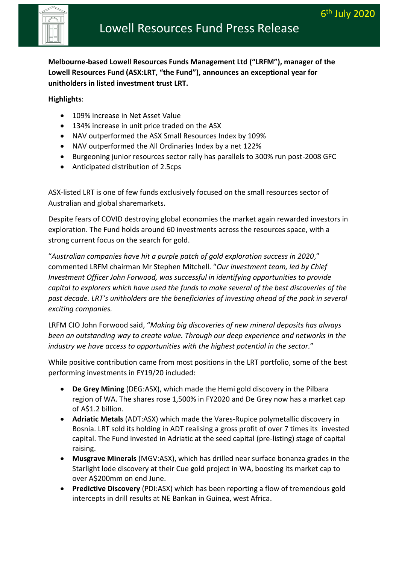

Lowell Resources Fund (ASX:LRT, "the Fund"), announces an exceptional year for **Melbourne-based Lowell Resources Funds Management Ltd ("LRFM"), manager of the unitholders in listed investment trust LRT.**

**Highlights**:

- 109% increase in Net Asset Value
- 134% increase in unit price traded on the ASX
- NAV outperformed the ASX Small Resources Index by 109%
- NAV outperformed the All Ordinaries Index by a net 122%
- Burgeoning junior resources sector rally has parallels to 300% run post-2008 GFC
- Anticipated distribution of 2.5cps

ASX-listed LRT is one of few funds exclusively focused on the small resources sector of Australian and global sharemarkets.

Despite fears of COVID destroying global economies the market again rewarded investors in exploration. The Fund holds around 60 investments across the resources space, with a strong current focus on the search for gold.

"*Australian companies have hit a purple patch of gold exploration success in 2020*," commented LRFM chairman Mr Stephen Mitchell. "*Our investment team, led by Chief Investment Officer John Forwood, was successful in identifying opportunities to provide capital to explorers which have used the funds to make several of the best discoveries of the past decade. LRT's unitholders are the beneficiaries of investing ahead of the pack in several exciting companies.* 

LRFM CIO John Forwood said, "*Making big discoveries of new mineral deposits has always been an outstanding way to create value. Through our deep experience and networks in the industry we have access to opportunities with the highest potential in the sector.*"

While positive contribution came from most positions in the LRT portfolio, some of the best performing investments in FY19/20 included:

- **De Grey Mining** (DEG:ASX), which made the Hemi gold discovery in the Pilbara region of WA. The shares rose 1,500% in FY2020 and De Grey now has a market cap of A\$1.2 billion.
- **Adriatic Metals** (ADT:ASX) which made the Vares-Rupice polymetallic discovery in Bosnia. LRT sold its holding in ADT realising a gross profit of over 7 times its invested capital. The Fund invested in Adriatic at the seed capital (pre-listing) stage of capital raising.
- **Musgrave Minerals** (MGV:ASX), which has drilled near surface bonanza grades in the Starlight lode discovery at their Cue gold project in WA, boosting its market cap to over A\$200mm on end June.
- **Predictive Discovery** (PDI:ASX) which has been reporting a flow of tremendous gold intercepts in drill results at NE Bankan in Guinea, west Africa.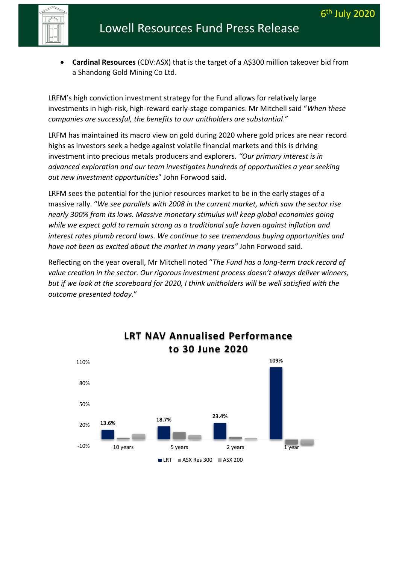- Lowell Resources Fund Press Release
- **Fund introduction (ASX: LRT)** a Shandong Gold Mining Co Ltd. • **Cardinal Resources** (CDV:ASX) that is the target of a A\$300 million takeover bid from

LRFM's high conviction investment strategy for the Fund allows for relatively large investments in high-risk, high-reward early-stage companies. Mr Mitchell said "*When these companies are successful, the benefits to our unitholders are substantial*."

LRFM has maintained its macro view on gold during 2020 where gold prices are near record highs as investors seek a hedge against volatile financial markets and this is driving investment into precious metals producers and explorers. *"Our primary interest is in advanced exploration and our team investigates hundreds of opportunities a year seeking out new investment opportunities*" John Forwood said.

LRFM sees the potential for the junior resources market to be in the early stages of a massive rally. "*We see parallels with 2008 in the current market, which saw the sector rise nearly 300% from its lows. Massive monetary stimulus will keep global economies going while we expect gold to remain strong as a traditional safe haven against inflation and interest rates plumb record lows. We continue to see tremendous buying opportunities and have not been as excited about the market in many years"* John Forwood said.

Reflecting on the year overall, Mr Mitchell noted "*The Fund has a long-term track record of value creation in the sector. Our rigorous investment process doesn't always deliver winners, but if we look at the scoreboard for 2020, I think unitholders will be well satisfied with the outcome presented today*."

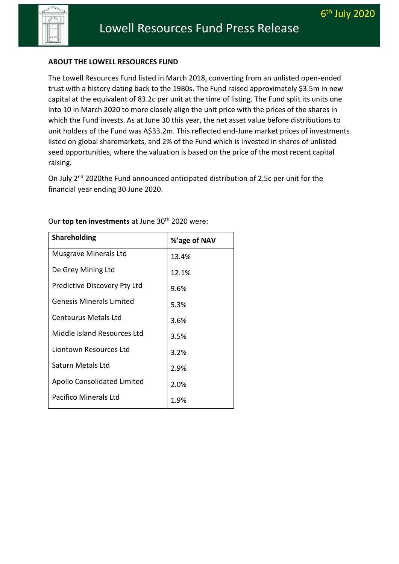

### **Fund introduction (ASX: LRT) ABOUT THE LOWELL RESOURCES FUND**

The Lowell Resources Fund listed in March 2018, converting from an unlisted open-ended trust with a history dating back to the 1980s. The Fund raised approximately \$3.5m in new capital at the equivalent of 83.2c per unit at the time of listing. The Fund split its units one into 10 in March 2020 to more closely align the unit price with the prices of the shares in which the Fund invests. As at June 30 this year, the net asset value before distributions to unit holders of the Fund was A\$33.2m. This reflected end-June market prices of investments listed on global sharemarkets, and 2% of the Fund which is invested in shares of unlisted seed opportunities, where the valuation is based on the price of the most recent capital raising.

On July 2<sup>nd</sup> 2020the Fund announced anticipated distribution of 2.5c per unit for the financial year ending 30 June 2020.

| <b>Shareholding</b>                | %'age of NAV |
|------------------------------------|--------------|
| Musgrave Minerals Ltd              | 13.4%        |
| De Grey Mining Ltd                 | 12.1%        |
| Predictive Discovery Pty Ltd       | 9.6%         |
| <b>Genesis Minerals Limited</b>    | 5.3%         |
| Centaurus Metals Ltd               | 3.6%         |
| Middle Island Resources Ltd        | 3.5%         |
| Liontown Resources Ltd             | 3.2%         |
| Saturn Metals Ltd                  | 2.9%         |
| <b>Apollo Consolidated Limited</b> | 2.0%         |
| <b>Pacifico Minerals Ltd</b>       | 1.9%         |

Our **top ten investments** at June 30<sup>th</sup> 2020 were: